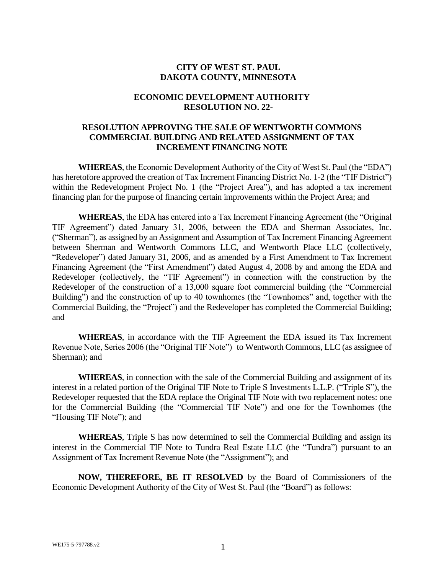## **CITY OF WEST ST. PAUL DAKOTA COUNTY, MINNESOTA**

## **ECONOMIC DEVELOPMENT AUTHORITY RESOLUTION NO. 22-**

## **RESOLUTION APPROVING THE SALE OF WENTWORTH COMMONS COMMERCIAL BUILDING AND RELATED ASSIGNMENT OF TAX INCREMENT FINANCING NOTE**

**WHEREAS**, the Economic Development Authority of the City of West St. Paul (the "EDA") has heretofore approved the creation of Tax Increment Financing District No. 1-2 (the "TIF District") within the Redevelopment Project No. 1 (the "Project Area"), and has adopted a tax increment financing plan for the purpose of financing certain improvements within the Project Area; and

**WHEREAS**, the EDA has entered into a Tax Increment Financing Agreement (the "Original TIF Agreement") dated January 31, 2006, between the EDA and Sherman Associates, Inc. ("Sherman"), as assigned by an Assignment and Assumption of Tax Increment Financing Agreement between Sherman and Wentworth Commons LLC, and Wentworth Place LLC (collectively, "Redeveloper") dated January 31, 2006, and as amended by a First Amendment to Tax Increment Financing Agreement (the "First Amendment") dated August 4, 2008 by and among the EDA and Redeveloper (collectively, the "TIF Agreement") in connection with the construction by the Redeveloper of the construction of a 13,000 square foot commercial building (the "Commercial Building") and the construction of up to 40 townhomes (the "Townhomes" and, together with the Commercial Building, the "Project") and the Redeveloper has completed the Commercial Building; and

**WHEREAS**, in accordance with the TIF Agreement the EDA issued its Tax Increment Revenue Note, Series 2006 (the "Original TIF Note") to Wentworth Commons, LLC (as assignee of Sherman); and

**WHEREAS**, in connection with the sale of the Commercial Building and assignment of its interest in a related portion of the Original TIF Note to Triple S Investments L.L.P. ("Triple S"), the Redeveloper requested that the EDA replace the Original TIF Note with two replacement notes: one for the Commercial Building (the "Commercial TIF Note") and one for the Townhomes (the "Housing TIF Note"); and

**WHEREAS**, Triple S has now determined to sell the Commercial Building and assign its interest in the Commercial TIF Note to Tundra Real Estate LLC (the "Tundra") pursuant to an Assignment of Tax Increment Revenue Note (the "Assignment"); and

**NOW, THEREFORE, BE IT RESOLVED** by the Board of Commissioners of the Economic Development Authority of the City of West St. Paul (the "Board") as follows: